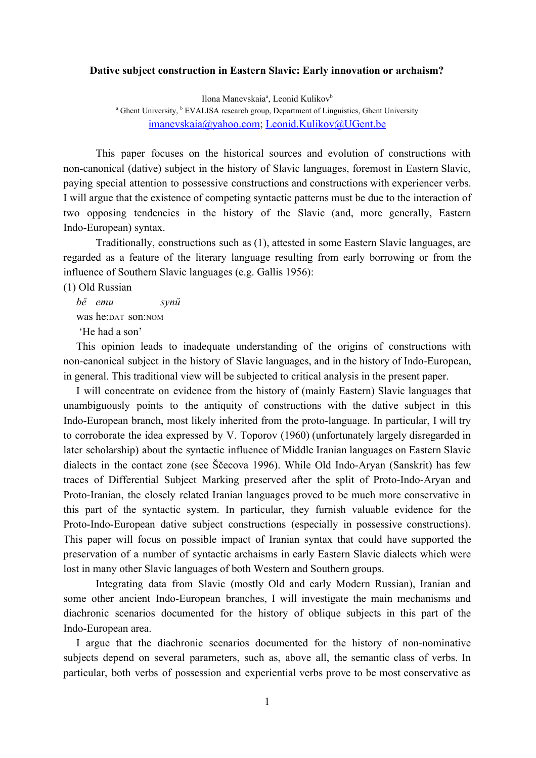## **Dative subject construction in Eastern Slavic: Early innovation or archaism?**

Ilona Manevskaia<sup>a</sup>, Leonid Kulikov<sup>b</sup>

<sup>a</sup> Ghent University, <sup>b</sup> EVALISA research group, Department of Linguistics, Ghent University [imanevskaia@yahoo.com;](mailto:imanevskaia@yahoo.com) [Leonid.Kulikov@UGent.be](mailto:Leonid.Kulikov@UGent.be)

This paper focuses on the historical sources and evolution of constructions with non-canonical (dative) subject in the history of Slavic languages, foremost in Eastern Slavic, paying special attention to possessive constructions and constructions with experiencer verbs. I will argue that the existence of competing syntactic patterns must be due to the interaction of two opposing tendencies in the history of the Slavic (and, more generally, Eastern Indo-European) syntax.

Traditionally, constructions such as (1), attested in some Eastern Slavic languages, are regarded as a feature of the literary language resulting from early borrowing or from the influence of Southern Slavic languages (e.g. Gallis 1956):

(1) Old Russian

*bĕ emu synŭ* was he:DAT son:NOM 'He had a son'

This opinion leads to inadequate understanding of the origins of constructions with non-canonical subject in the history of Slavic languages, and in the history of Indo-European, in general. This traditional view will be subjected to critical analysis in the present paper.

I will concentrate on evidence from the history of (mainly Eastern) Slavic languages that unambiguously points to the antiquity of constructions with the dative subject in this Indo-European branch, most likely inherited from the proto-language. In particular, I will try to corroborate the idea expressed by V. Toporov (1960) (unfortunately largely disregarded in later scholarship) about the syntactic influence of Middle Iranian languages on Eastern Slavic dialects in the contact zone (see Ščecova 1996). While Old Indo-Aryan (Sanskrit) has few traces of Differential Subject Marking preserved after the split of Proto-Indo-Aryan and Proto-Iranian, the closely related Iranian languages proved to be much more conservative in this part of the syntactic system. In particular, they furnish valuable evidence for the Proto-Indo-European dative subject constructions (especially in possessive constructions). This paper will focus on possible impact of Iranian syntax that could have supported the preservation of a number of syntactic archaisms in early Eastern Slavic dialects which were lost in many other Slavic languages of both Western and Southern groups.

Integrating data from Slavic (mostly Old and early Modern Russian), Iranian and some other ancient Indo-European branches, I will investigate the main mechanisms and diachronic scenarios documented for the history of oblique subjects in this part of the Indo-European area.

I argue that the diachronic scenarios documented for the history of non-nominative subjects depend on several parameters, such as, above all, the semantic class of verbs. In particular, both verbs of possession and experiential verbs prove to be most conservative as